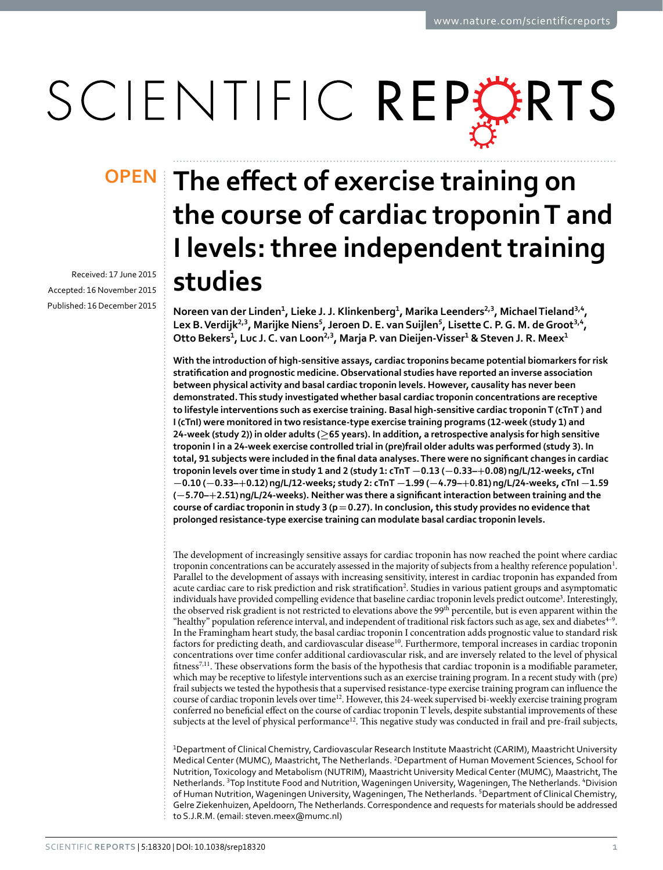# SCIENTIFIC REPERTS

Received: 17 June 2015 accepted: 16 November 2015 Published: 16 December 2015

## **The effect of exercise training on OPENthe course of cardiac troponin T and I levels: three independent training studies**

**Noreen van der Linden<sup>1</sup>, Lieke J. J. Klinkenberg<sup>1</sup>, Marika Leenders<sup>2,3</sup>, Michael Tieland<sup>3,4</sup>, Lex B.Verdijk2,3, Marijke Niens5, Jeroen D. E. van Suijlen5, LisetteC. P.G. M. de Groot3,<sup>4</sup>, Otto Bekers1, Luc J. C. van Loon2,3, Marja P. van Dieijen-Visser1 & Steven J. R. Meex1**

**With the introduction of high-sensitive assays, cardiac troponins became potential biomarkers for risk stratification and prognostic medicine. Observational studies have reported an inverse association between physical activity and basal cardiac troponin levels. However, causality has never been demonstrated. This study investigated whether basal cardiac troponin concentrations are receptive to lifestyle interventions such as exercise training. Basal high-sensitive cardiac troponin T (cTnT ) and I (cTnI) were monitored in two resistance-type exercise training programs (12-week (study 1) and 24-week (study 2)) in older adults (≥65 years). In addition, a retrospective analysis for high sensitive troponin I in a 24-week exercise controlled trial in (pre)frail older adults was performed (study 3). In total, 91 subjects were included in the final data analyses. There were no significant changes in cardiac troponin levels over time in study 1 and 2 (study 1: cTnT −0.13 (−0.33–+0.08)ng/L/12-weeks, cTnI −0.10 (−0.33–+0.12)ng/L/12-weeks; study 2: cTnT −1.99 (−4.79–+0.81)ng/L/24-weeks, cTnI −1.59 (−5.70–+2.51)ng/L/24-weeks). Neither was there a significant interaction between training and the course of cardiac troponin in study 3 (p=0.27). In conclusion, this study provides no evidence that prolonged resistance-type exercise training can modulate basal cardiac troponin levels.**

The development of increasingly sensitive assays for cardiac troponin has now reached the point where cardiac troponin concentrations can be accurately assessed in the majority of subjects from a healthy reference population<sup>[1](#page-4-0)</sup>. Parallel to the development of assays with increasing sensitivity, interest in cardiac troponin has expanded from acute cardiac care to risk prediction and risk stratification<sup>2</sup>. Studies in various patient groups and asymptomatic individuals have provided compelling evidence that baseline cardiac troponin levels predict outcome<sup>3</sup>. Interestingly, the observed risk gradient is not restricted to elevations above the 99<sup>th</sup> percentile, but is even apparent within the "healthy" population reference interval, and independent of traditional risk factors such as age, sex and diabetes $4-9$ . In the Framingham heart study, the basal cardiac troponin I concentration adds prognostic value to standard risk factors for predicting death, and cardiovascular disease<sup>10</sup>. Furthermore, temporal increases in cardiac troponin concentrations over time confer additional cardiovascular risk, and are inversely related to the level of physical fitness<sup>[7,](#page-5-1)11</sup>. These observations form the basis of the hypothesis that cardiac troponin is a modifiable parameter, which may be receptive to lifestyle interventions such as an exercise training program. In a recent study with (pre) frail subjects we tested the hypothesis that a supervised resistance-type exercise training program can influence the course of cardiac troponin levels over time[12](#page-5-3). However, this 24-week supervised bi-weekly exercise training program conferred no beneficial effect on the course of cardiac troponin T levels, despite substantial improvements of these subjects at the level of physical performance<sup>12</sup>. This negative study was conducted in frail and pre-frail subjects,

1 Department of Clinical Chemistry, Cardiovascular Research Institute Maastricht (CARIM), Maastricht University Medical Center (MUMC), Maastricht, The Netherlands. <sup>2</sup>Department of Human Movement Sciences, School for Nutrition, Toxicology and Metabolism (NUTRIM), Maastricht University Medical Center (MUMC), Maastricht, The Netherlands. <sup>3</sup>Top Institute Food and Nutrition, Wageningen University, Wageningen, The Netherlands. <sup>4</sup>Division of Human Nutrition, Wageningen University, Wageningen, The Netherlands. <sup>5</sup>Department of Clinical Chemistry, Gelre Ziekenhuizen, Apeldoorn, The Netherlands. Correspondence and requests for materials should be addressed to S.J.R.M. (email: [steven.meex@mumc.nl\)](mailto:steven.meex@mumc.nl)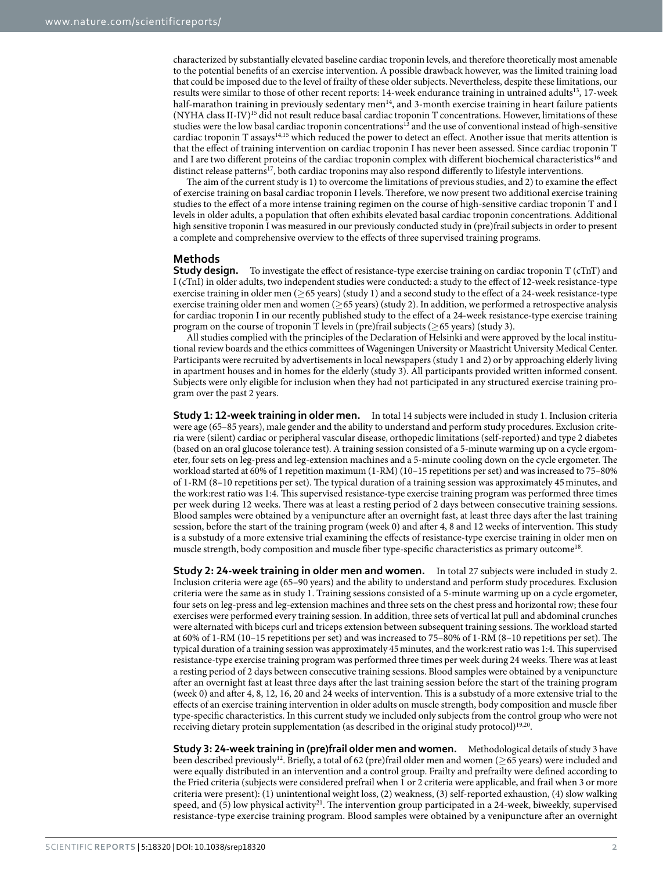characterized by substantially elevated baseline cardiac troponin levels, and therefore theoretically most amenable to the potential benefits of an exercise intervention. A possible drawback however, was the limited training load that could be imposed due to the level of frailty of these older subjects. Nevertheless, despite these limitations, our results were similar to those of other recent reports: 14-week endurance training in untrained adults<sup>[13](#page-5-4)</sup>, 17-week half-marathon training in previously sedentary men<sup>[14](#page-5-5)</sup>, and 3-month exercise training in heart failure patients (NYHA class II-IV[\)15](#page-5-6) did not result reduce basal cardiac troponin T concentrations. However, limitations of these studies were the low basal cardiac troponin concentrations<sup>13</sup> and the use of conventional instead of high-sensitive cardiac troponin T assay[s14,](#page-5-5)[15](#page-5-6) which reduced the power to detect an effect. Another issue that merits attention is that the effect of training intervention on cardiac troponin I has never been assessed. Since cardiac troponin T and I are two different proteins of the cardiac troponin complex with different biochemical characteristics<sup>[16](#page-5-7)</sup> and distinct release patterns<sup>17</sup>, both cardiac troponins may also respond differently to lifestyle interventions.

The aim of the current study is 1) to overcome the limitations of previous studies, and 2) to examine the effect of exercise training on basal cardiac troponin I levels. Therefore, we now present two additional exercise training studies to the effect of a more intense training regimen on the course of high-sensitive cardiac troponin T and I levels in older adults, a population that often exhibits elevated basal cardiac troponin concentrations. Additional high sensitive troponin I was measured in our previously conducted study in (pre)frail subjects in order to present a complete and comprehensive overview to the effects of three supervised training programs.

#### **Methods**

**Study design.** To investigate the effect of resistance-type exercise training on cardiac troponin T (cTnT) and I (cTnI) in older adults, two independent studies were conducted: a study to the effect of 12-week resistance-type exercise training in older men (≥65 years) (study 1) and a second study to the effect of a 24-week resistance-type exercise training older men and women (≥65 years) (study 2). In addition, we performed a retrospective analysis for cardiac troponin I in our recently published study to the effect of a 24-week resistance-type exercise training program on the course of troponin T levels in (pre)frail subjects ( $\geq$  65 years) (study 3).

All studies complied with the principles of the Declaration of Helsinki and were approved by the local institutional review boards and the ethics committees of Wageningen University or Maastricht University Medical Center. Participants were recruited by advertisements in local newspapers (study 1 and 2) or by approaching elderly living in apartment houses and in homes for the elderly (study 3). All participants provided written informed consent. Subjects were only eligible for inclusion when they had not participated in any structured exercise training program over the past 2 years.

**Study 1: 12-week training in older men.** In total 14 subjects were included in study 1. Inclusion criteria were age (65–85 years), male gender and the ability to understand and perform study procedures. Exclusion criteria were (silent) cardiac or peripheral vascular disease, orthopedic limitations (self-reported) and type 2 diabetes (based on an oral glucose tolerance test). A training session consisted of a 5-minute warming up on a cycle ergometer, four sets on leg-press and leg-extension machines and a 5-minute cooling down on the cycle ergometer. The workload started at 60% of 1 repetition maximum (1-RM) (10–15 repetitions per set) and was increased to 75–80% of 1-RM (8–10 repetitions per set). The typical duration of a training session was approximately 45minutes, and the work:rest ratio was 1:4. This supervised resistance-type exercise training program was performed three times per week during 12 weeks. There was at least a resting period of 2 days between consecutive training sessions. Blood samples were obtained by a venipuncture after an overnight fast, at least three days after the last training session, before the start of the training program (week 0) and after 4, 8 and 12 weeks of intervention. This study is a substudy of a more extensive trial examining the effects of resistance-type exercise training in older men on muscle strength, body composition and muscle fiber type-specific characteristics as primary outcome<sup>18</sup>.

**Study 2: 24-week training in older men and women.** In total 27 subjects were included in study 2. Inclusion criteria were age (65–90 years) and the ability to understand and perform study procedures. Exclusion criteria were the same as in study 1. Training sessions consisted of a 5-minute warming up on a cycle ergometer, four sets on leg-press and leg-extension machines and three sets on the chest press and horizontal row; these four exercises were performed every training session. In addition, three sets of vertical lat pull and abdominal crunches were alternated with biceps curl and triceps extension between subsequent training sessions. The workload started at 60% of 1-RM (10–15 repetitions per set) and was increased to 75–80% of 1-RM (8–10 repetitions per set). The typical duration of a training session was approximately 45minutes, and the work:rest ratio was 1:4. This supervised resistance-type exercise training program was performed three times per week during 24 weeks. There was at least a resting period of 2 days between consecutive training sessions. Blood samples were obtained by a venipuncture after an overnight fast at least three days after the last training session before the start of the training program (week 0) and after 4, 8, 12, 16, 20 and 24 weeks of intervention. This is a substudy of a more extensive trial to the effects of an exercise training intervention in older adults on muscle strength, body composition and muscle fiber type-specific characteristics. In this current study we included only subjects from the control group who were not receiving dietary protein supplementation (as described in the original study protocol) $19,20$  $19,20$  $19,20$ .

**Study 3: 24-week training in (pre)frail older men and women.** Methodological details of study 3 have been described previously<sup>[12](#page-5-3)</sup>. Briefly, a total of 62 (pre)frail older men and women ( $\geq$ 65 years) were included and were equally distributed in an intervention and a control group. Frailty and prefrailty were defined according to the Fried criteria (subjects were considered prefrail when 1 or 2 criteria were applicable, and frail when 3 or more criteria were present): (1) unintentional weight loss, (2) weakness, (3) self-reported exhaustion, (4) slow walking speed, and (5) low physical activity<sup>21</sup>. The intervention group participated in a 24-week, biweekly, supervised resistance-type exercise training program. Blood samples were obtained by a venipuncture after an overnight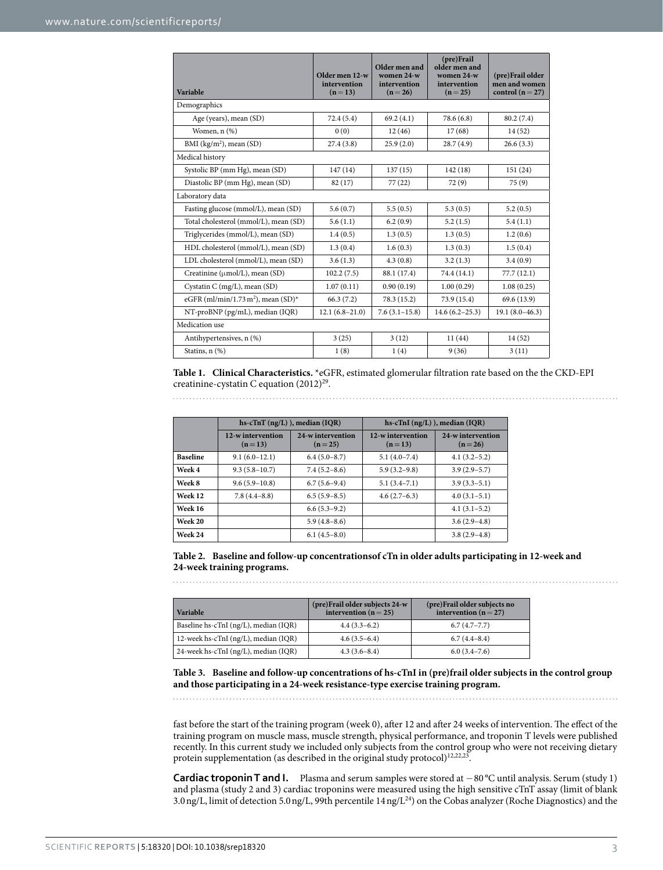<span id="page-2-0"></span>

| Variable                                       | Older men 12-w<br>intervention<br>$(n=13)$ | Older men and<br>women 24-w<br>intervention<br>$(n = 26)$ | (pre)Frail<br>older men and<br>women 24-w<br>intervention<br>$(n=25)$ | (pre)Frail older<br>men and women<br>control $(n=27)$ |  |  |
|------------------------------------------------|--------------------------------------------|-----------------------------------------------------------|-----------------------------------------------------------------------|-------------------------------------------------------|--|--|
| Demographics                                   |                                            |                                                           |                                                                       |                                                       |  |  |
| Age (years), mean (SD)                         | 72.4(5.4)                                  | 69.2(4.1)                                                 | 78.6 (6.8)                                                            | 80.2(7.4)                                             |  |  |
| Women, n (%)                                   | 0(0)                                       | 12(46)                                                    | 17(68)                                                                | 14(52)                                                |  |  |
| BMI ( $kg/m2$ ), mean (SD)                     | 27.4(3.8)                                  | 25.9(2.0)                                                 | 28.7(4.9)                                                             | 26.6(3.3)                                             |  |  |
| Medical history                                |                                            |                                                           |                                                                       |                                                       |  |  |
| Systolic BP (mm Hg), mean (SD)                 | 147(14)                                    | 137(15)                                                   | 142(18)                                                               | 151 (24)                                              |  |  |
| Diastolic BP (mm Hg), mean (SD)                | 82 (17)                                    | 77(22)                                                    | 72(9)                                                                 | 75(9)                                                 |  |  |
| Laboratory data                                |                                            |                                                           |                                                                       |                                                       |  |  |
| Fasting glucose (mmol/L), mean (SD)            | 5.6(0.7)                                   | 5.5(0.5)                                                  | 5.3(0.5)                                                              | 5.2(0.5)                                              |  |  |
| Total cholesterol (mmol/L), mean (SD)          | 5.6(1.1)                                   | 6.2(0.9)                                                  | 5.2(1.5)                                                              | 5.4(1.1)                                              |  |  |
| Triglycerides (mmol/L), mean (SD)              | 1.4(0.5)                                   | 1.3(0.5)                                                  | 1.3(0.5)                                                              | 1.2(0.6)                                              |  |  |
| HDL cholesterol (mmol/L), mean (SD)            | 1.3(0.4)                                   | 1.6(0.3)                                                  | 1.3(0.3)                                                              | 1.5(0.4)                                              |  |  |
| LDL cholesterol (mmol/L), mean (SD)            | 3.6(1.3)                                   | 4.3(0.8)                                                  | 3.2(1.3)                                                              | 3.4(0.9)                                              |  |  |
| Creatinine ( $\mu$ mol/L), mean (SD)           | 102.2(7.5)                                 | 88.1 (17.4)                                               | 74.4 (14.1)                                                           | 77.7 (12.1)                                           |  |  |
| Cystatin C (mg/L), mean (SD)                   | 1.07(0.11)                                 | 0.90(0.19)                                                | 1.00(0.29)                                                            | 1.08(0.25)                                            |  |  |
| eGFR (ml/min/1.73 m <sup>2</sup> ), mean (SD)* | 66.3(7.2)                                  | 78.3 (15.2)                                               | 73.9 (15.4)                                                           | 69.6 (13.9)                                           |  |  |
| NT-proBNP (pg/mL), median (IQR)                | $12.1(6.8-21.0)$                           | $7.6(3.1-15.8)$                                           | $14.6(6.2 - 25.3)$                                                    | $19.1(8.0-46.3)$                                      |  |  |
| Medication use                                 |                                            |                                                           |                                                                       |                                                       |  |  |
| Antihypertensives, n (%)                       | 3(25)                                      | 3(12)                                                     | 11(44)                                                                | 14(52)                                                |  |  |
| Statins, n (%)                                 | 1(8)                                       | 1(4)                                                      | 9(36)                                                                 | 3(11)                                                 |  |  |

**Table 1. Clinical Characteristics.** \*eGFR, estimated glomerular filtration rate based on the the CKD-EPI creatinine-cystatin C equation  $(2012)^{29}$ .

<span id="page-2-1"></span>

|                 | hs-c $TnT$ (ng/L)), median (IQR) |                               | hs-cTnI $(ng/L)$ ), median $(IQR)$ |                                 |  |
|-----------------|----------------------------------|-------------------------------|------------------------------------|---------------------------------|--|
|                 | 12-w intervention<br>$(n=13)$    | 24-w intervention<br>$(n=25)$ | 12-w intervention<br>$(n=13)$      | 24-w intervention<br>$(n = 26)$ |  |
| <b>Baseline</b> | $9.1(6.0-12.1)$                  | $6.4(5.0-8.7)$                | $5.1(4.0-7.4)$                     | $4.1(3.2-5.2)$                  |  |
| Week 4          | $9.3(5.8-10.7)$                  | $7.4(5.2 - 8.6)$              | $5.9(3.2 - 9.8)$                   | $3.9(2.9-5.7)$                  |  |
| Week 8          | $9.6(5.9-10.8)$                  | $6.7(5.6-9.4)$                | $5.1(3.4-7.1)$                     | $3.9(3.3-5.1)$                  |  |
| Week 12         | $7.8(4.4 - 8.8)$                 | $6.5(5.9-8.5)$                | $4.6(2.7-6.3)$                     | $4.0(3.1-5.1)$                  |  |
| Week 16         |                                  | $6.6(5.3-9.2)$                |                                    | $4.1(3.1-5.2)$                  |  |
| Week 20         |                                  | $5.9(4.8-8.6)$                |                                    | $3.6(2.9-4.8)$                  |  |
| Week 24         |                                  | $6.1(4.5-8.0)$                |                                    | $3.8(2.9-4.8)$                  |  |

**Table 2. Baseline and follow-up concentrationsof cTn in older adults participating in 12-week and 24-week training programs.**

<span id="page-2-2"></span>

| <b>Variable</b>                       | (pre) Frail older subjects 24-w<br>intervention ( $n = 25$ ) | (pre) Frail older subjects no<br>intervention ( $n = 27$ ) |  |
|---------------------------------------|--------------------------------------------------------------|------------------------------------------------------------|--|
| Baseline hs-cTnI (ng/L), median (IQR) | $4.4(3.3-6.2)$                                               | $6.7(4.7-7.7)$                                             |  |
| 12-week hs-cTnI (ng/L), median (IQR)  | $4.6(3.5-6.4)$                                               | $6.7(4.4 - 8.4)$                                           |  |
| 24-week hs-cTnI (ng/L), median (IQR)  | $4.3(3.6-8.4)$                                               | $6.0(3.4-7.6)$                                             |  |

**Table 3. Baseline and follow-up concentrations of hs-cTnI in (pre)frail older subjects in the control group and those participating in a 24-week resistance-type exercise training program.**

fast before the start of the training program (week 0), after 12 and after 24 weeks of intervention. The effect of the training program on muscle mass, muscle strength, physical performance, and troponin T levels were published recently. In this current study we included only subjects from the control group who were not receiving dietary protein supplementation (as described in the original study protocol)<sup>[12](#page-5-3),[22](#page-5-14),[23](#page-5-15)</sup>.

**Cardiac troponin T and I.** Plasma and serum samples were stored at −80 °C until analysis. Serum (study 1) and plasma (study 2 and 3) cardiac troponins were measured using the high sensitive cTnT assay (limit of blank 3.0 ng/L, limit of detection 5.0 ng/L, 99th percentile  $14$  ng/L<sup>24</sup>) on the Cobas analyzer (Roche Diagnostics) and the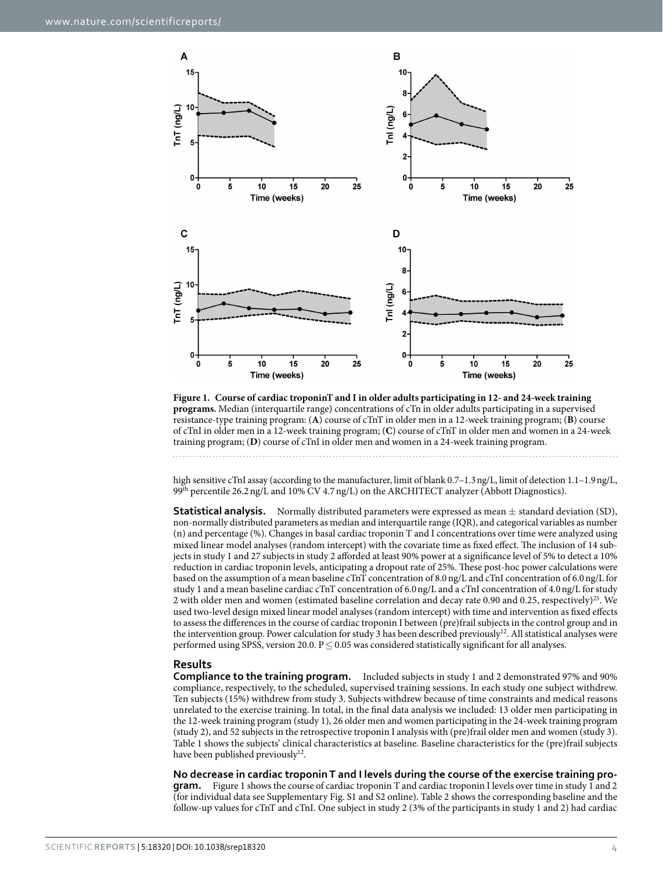

<span id="page-3-0"></span>**Figure 1. Course of cardiac troponinT and I in older adults participating in 12- and 24-week training programs.** Median (interquartile range) concentrations of cTn in older adults participating in a supervised resistance-type training program: (**A**) course of cTnT in older men in a 12-week training program; (**B**) course of cTnI in older men in a 12-week training program; (**C**) course of cTnT in older men and women in a 24-week training program; (**D**) course of cTnI in older men and women in a 24-week training program.

high sensitive cTnI assay (according to the manufacturer, limit of blank 0.7–1.3 ng/L, limit of detection 1.1–1.9 ng/L, 99<sup>th</sup> percentile 26.2 ng/L and 10% CV 4.7 ng/L) on the ARCHITECT analyzer (Abbott Diagnostics).

**Statistical analysis.** Normally distributed parameters were expressed as mean  $\pm$  standard deviation (SD), non-normally distributed parameters as median and interquartile range (IQR), and categorical variables as number (n) and percentage (%). Changes in basal cardiac troponin T and I concentrations over time were analyzed using mixed linear model analyses (random intercept) with the covariate time as fixed effect. The inclusion of 14 subjects in study 1 and 27 subjects in study 2 afforded at least 90% power at a significance level of 5% to detect a 10% reduction in cardiac troponin levels, anticipating a dropout rate of 25%. These post-hoc power calculations were based on the assumption of a mean baseline cTnT concentration of 8.0ng/L and cTnI concentration of 6.0ng/L for study 1 and a mean baseline cardiac cTnT concentration of 6.0ng/L and a cTnI concentration of 4.0ng/L for study 2 with older men and women (estimated baseline correlation and decay rate 0.90 and 0.25, respectively)<sup>25</sup>. We used two-level design mixed linear model analyses (random intercept) with time and intervention as fixed effects to assess the differences in the course of cardiac troponin I between (pre)frail subjects in the control group and in the intervention group. Power calculation for study 3 has been described previously<sup>[12](#page-5-3)</sup>. All statistical analyses were performed using SPSS, version 20.0. P≤ 0.05 was considered statistically significant for all analyses.

### **Results**

**Compliance to the training program.** Included subjects in study 1 and 2 demonstrated 97% and 90% compliance, respectively, to the scheduled, supervised training sessions. In each study one subject withdrew. Ten subjects (15%) withdrew from study 3. Subjects withdrew because of time constraints and medical reasons unrelated to the exercise training. In total, in the final data analysis we included: 13 older men participating in the 12-week training program (study 1), 26 older men and women participating in the 24-week training program (study 2), and 52 subjects in the retrospective troponin I analysis with (pre)frail older men and women (study 3). [Table 1](#page-2-0) shows the subjects' clinical characteristics at baseline. Baseline characteristics for the (pre)frail subjects have been published previously<sup>12</sup>.

**No decrease in cardiac troponin T and I levels during the course of the exercise training program.** [Figure 1](#page-3-0) shows the course of cardiac troponin T and cardiac troponin I levels over time in study 1 and 2 (for individual data see Supplementary Fig. S1 and S2 online). [Table 2](#page-2-1) shows the corresponding baseline and the follow-up values for cTnT and cTnI. One subject in study 2 (3% of the participants in study 1 and 2) had cardiac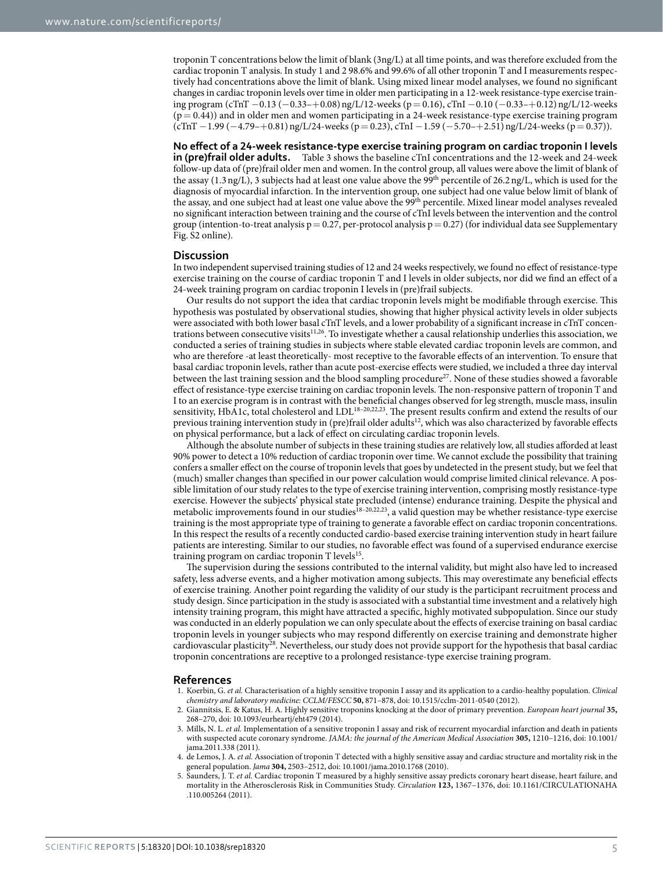troponin T concentrations below the limit of blank (3ng/L) at all time points, and was therefore excluded from the cardiac troponin T analysis. In study 1 and 2 98.6% and 99.6% of all other troponin T and I measurements respectively had concentrations above the limit of blank. Using mixed linear model analyses, we found no significant changes in cardiac troponin levels over time in older men participating in a 12-week resistance-type exercise training program (cTnT −0.13 (−0.33–+0.08)ng/L/12-weeks (p= 0.16), cTnI −0.10 (−0.33–+0.12)ng/L/12-weeks  $(p= 0.44)$ ) and in older men and women participating in a 24-week resistance-type exercise training program (cTnT −1.99 (−4.79–+0.81)ng/L/24-weeks (p= 0.23), cTnI −1.59 (−5.70–+2.51)ng/L/24-weeks (p= 0.37)).

**No effect of a 24-week resistance-type exercise training program on cardiac troponin I levels in (pre)frail older adults.** [Table 3](#page-2-2) shows the baseline cTnI concentrations and the 12-week and 24-week follow-up data of (pre)frail older men and women. In the control group, all values were above the limit of blank of the assay (1.3 ng/L), 3 subjects had at least one value above the 99<sup>th</sup> percentile of 26.2 ng/L, which is used for the diagnosis of myocardial infarction. In the intervention group, one subject had one value below limit of blank of the assay, and one subject had at least one value above the 99<sup>th</sup> percentile. Mixed linear model analyses revealed no significant interaction between training and the course of cTnI levels between the intervention and the control group (intention-to-treat analysis  $p = 0.27$ , per-protocol analysis  $p = 0.27$ ) (for individual data see Supplementary Fig. S2 online).

#### **Discussion**

In two independent supervised training studies of 12 and 24 weeks respectively, we found no effect of resistance-type exercise training on the course of cardiac troponin T and I levels in older subjects, nor did we find an effect of a 24-week training program on cardiac troponin I levels in (pre)frail subjects.

Our results do not support the idea that cardiac troponin levels might be modifiable through exercise. This hypothesis was postulated by observational studies, showing that higher physical activity levels in older subjects were associated with both lower basal cTnT levels, and a lower probability of a significant increase in cTnT concentrations between consecutive visits[11](#page-5-2),[26](#page-5-18). To investigate whether a causal relationship underlies this association, we conducted a series of training studies in subjects where stable elevated cardiac troponin levels are common, and who are therefore -at least theoretically- most receptive to the favorable effects of an intervention. To ensure that basal cardiac troponin levels, rather than acute post-exercise effects were studied, we included a three day interval between the last training session and the blood sampling procedure<sup>27</sup>. None of these studies showed a favorable effect of resistance-type exercise training on cardiac troponin levels. The non-responsive pattern of troponin T and I to an exercise program is in contrast with the beneficial changes observed for leg strength, muscle mass, insulin sensitivity, HbA1c, total cholesterol and  $LDL^{18-20,22,23}$  $LDL^{18-20,22,23}$  $LDL^{18-20,22,23}$  $LDL^{18-20,22,23}$  $LDL^{18-20,22,23}$ . The present results confirm and extend the results of our previous training intervention study in (pre)frail older adults<sup>12</sup>, which was also characterized by favorable effects on physical performance, but a lack of effect on circulating cardiac troponin levels.

Although the absolute number of subjects in these training studies are relatively low, all studies afforded at least 90% power to detect a 10% reduction of cardiac troponin over time. We cannot exclude the possibility that training confers a smaller effect on the course of troponin levels that goes by undetected in the present study, but we feel that (much) smaller changes than specified in our power calculation would comprise limited clinical relevance. A possible limitation of our study relates to the type of exercise training intervention, comprising mostly resistance-type exercise. However the subjects' physical state precluded (intense) endurance training. Despite the physical and metabolic improvements found in our studies<sup>18-20[,22](#page-5-14)[,23](#page-5-15)</sup>, a valid question may be whether resistance-type exercise training is the most appropriate type of training to generate a favorable effect on cardiac troponin concentrations. In this respect the results of a recently conducted cardio-based exercise training intervention study in heart failure patients are interesting. Similar to our studies, no favorable effect was found of a supervised endurance exercise training program on cardiac troponin T levels<sup>15</sup>.

The supervision during the sessions contributed to the internal validity, but might also have led to increased safety, less adverse events, and a higher motivation among subjects. This may overestimate any beneficial effects of exercise training. Another point regarding the validity of our study is the participant recruitment process and study design. Since participation in the study is associated with a substantial time investment and a relatively high intensity training program, this might have attracted a specific, highly motivated subpopulation. Since our study was conducted in an elderly population we can only speculate about the effects of exercise training on basal cardiac troponin levels in younger subjects who may respond differently on exercise training and demonstrate higher cardiovascular plasticity[28.](#page-5-20) Nevertheless, our study does not provide support for the hypothesis that basal cardiac troponin concentrations are receptive to a prolonged resistance-type exercise training program.

#### **References**

- <span id="page-4-0"></span>1. Koerbin, G. *et al.* Characterisation of a highly sensitive troponin I assay and its application to a cardio-healthy population. *Clinical chemistry and laboratory medicine: CCLM/FESCC* **50,** 871–878, doi: 10.1515/cclm-2011-0540 (2012).
- <span id="page-4-1"></span>2. Giannitsis, E. & Katus, H. A. Highly sensitive troponins knocking at the door of primary prevention. *European heart journal* **35,** 268–270, doi: 10.1093/eurheartj/eht479 (2014).
- <span id="page-4-2"></span>3. Mills, N. L. *et al.* Implementation of a sensitive troponin I assay and risk of recurrent myocardial infarction and death in patients with suspected acute coronary syndrome. *JAMA: the journal of the American Medical Association* **305,** 1210–1216, doi: 10.1001/ jama.2011.338 (2011).
- <span id="page-4-3"></span>4. de Lemos, J. A. *et al.* Association of troponin T detected with a highly sensitive assay and cardiac structure and mortality risk in the general population. *Jama* **304,** 2503–2512, doi: 10.1001/jama.2010.1768 (2010).
- 5. Saunders, J. T. *et al.* Cardiac troponin T measured by a highly sensitive assay predicts coronary heart disease, heart failure, and mortality in the Atherosclerosis Risk in Communities Study. *Circulation* **123,** 1367–1376, doi: 10.1161/CIRCULATIONAHA .110.005264 (2011).